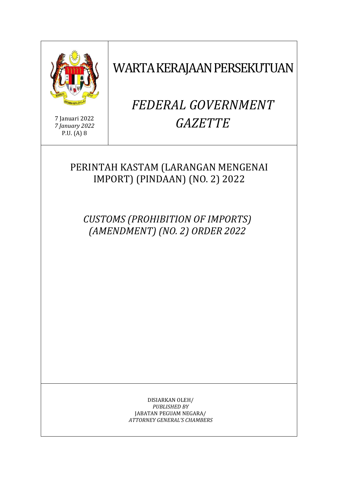

WARTA KERAJAAN PERSEKUTUAN

#### 7 Januari 2022 *7 January 2022*  P.U. (A) 8

# *FEDERAL GOVERNMENT GAZETTE*

## PERINTAH KASTAM (LARANGAN MENGENAI IMPORT) (PINDAAN) (NO. 2) 2022

*CUSTOMS (PROHIBITION OF IMPORTS) (AMENDMENT) (NO. 2) ORDER 2022* 

> DISIARKAN OLEH/ *PUBLISHED BY*  JABATAN PEGUAM NEGARA/ *ATTORNEY GENERAL'S CHAMBERS*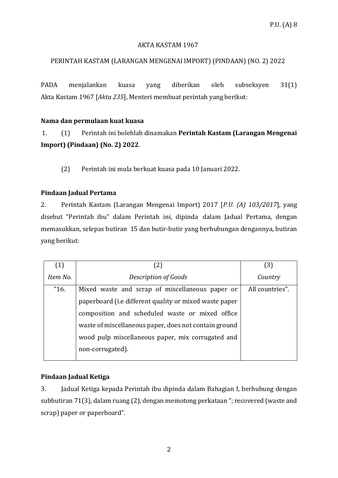#### AKTA KASTAM 1967

#### PERINTAH KASTAM (LARANGAN MENGENAI IMPORT) (PINDAAN) (NO. 2) 2022

PADA menjalankan kuasa yang diberikan oleh subseksyen 31(1) Akta Kastam 1967 [*Akta 235*], Menteri membuat perintah yang berikut:

#### **Nama dan permulaan kuat kuasa**

1. (1) Perintah ini bolehlah dinamakan **Perintah Kastam (Larangan Mengenai Import) (Pindaan) (No. 2) 2022**.

(2) Perintah ini mula berkuat kuasa pada 10 Januari 2022.

#### **Pindaan Jadual Pertama**

2. Perintah Kastam (Larangan Mengenai Import) 2017 [*P.U. (A) 103/2017*], yang disebut "Perintah ibu" dalam Perintah ini, dipinda dalam Jadual Pertama, dengan memasukkan, selepas butiran 15 dan butir-butir yang berhubungan dengannya, butiran yang berikut:

| (1)      | (2)                                                    | (3)             |
|----------|--------------------------------------------------------|-----------------|
| Item No. | Description of Goods                                   | Country         |
| "16.     | Mixed waste and scrap of miscellaneous paper or        | All countries". |
|          | paperboard (i.e different quality or mixed waste paper |                 |
|          | composition and scheduled waste or mixed office        |                 |
|          | waste of miscellaneous paper, does not contain ground  |                 |
|          | wood pulp miscellaneous paper, mix corrugated and      |                 |
|          | non-corrugated).                                       |                 |
|          |                                                        |                 |

### **Pindaan Jadual Ketiga**

3. Jadual Ketiga kepada Perintah ibu dipinda dalam Bahagian I, berhubung dengan subbutiran 71(3), dalam ruang (2), dengan memotong perkataan "; recovered (waste and scrap) paper or paperboard".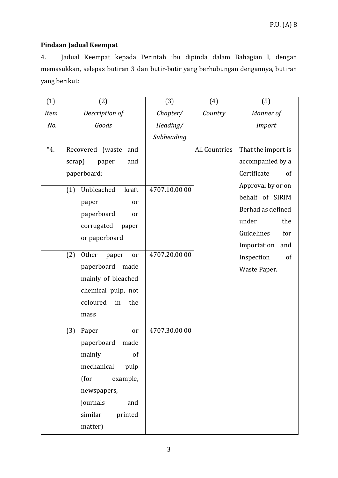## **Pindaan Jadual Keempat**

4. Jadual Keempat kepada Perintah ibu dipinda dalam Bahagian I, dengan memasukkan, selepas butiran 3 dan butir-butir yang berhubungan dengannya, butiran yang berikut:

| (1)         | (2)                         | (3)           | (4)                  | (5)                |
|-------------|-----------------------------|---------------|----------------------|--------------------|
| <b>Item</b> | Description of              | Chapter/      | Country              | Manner of          |
| No.         | Goods                       | Heading/      |                      | <b>Import</b>      |
|             |                             | Subheading    |                      |                    |
| "4.         | Recovered (waste and        |               | <b>All Countries</b> | That the import is |
|             | scrap)<br>and<br>paper      |               |                      | accompanied by a   |
|             | paperboard:                 |               |                      | Certificate<br>of  |
|             | Unbleached<br>(1)<br>kraft  | 4707.10.00 00 |                      | Approval by or on  |
|             | paper<br><sub>or</sub>      |               |                      | behalf of SIRIM    |
|             | paperboard<br>or            |               |                      | Berhad as defined  |
|             | corrugated<br>paper         |               |                      | under<br>the       |
|             | or paperboard               |               |                      | Guidelines<br>for  |
|             |                             |               |                      | Importation<br>and |
|             | (2)<br>Other<br>paper<br>or | 4707.20.00 00 |                      | Inspection<br>of   |
|             | paperboard<br>made          |               |                      | Waste Paper.       |
|             | mainly of bleached          |               |                      |                    |
|             | chemical pulp, not          |               |                      |                    |
|             | coloured<br>the<br>in       |               |                      |                    |
|             | mass                        |               |                      |                    |
|             | (3)<br>Paper<br>or          | 4707.30.00 00 |                      |                    |
|             | paperboard<br>made          |               |                      |                    |
|             | mainly<br>of                |               |                      |                    |
|             | mechanical<br>pulp          |               |                      |                    |
|             | (for<br>example,            |               |                      |                    |
|             | newspapers,                 |               |                      |                    |
|             | journals<br>and             |               |                      |                    |
|             | similar<br>printed          |               |                      |                    |
|             | matter)                     |               |                      |                    |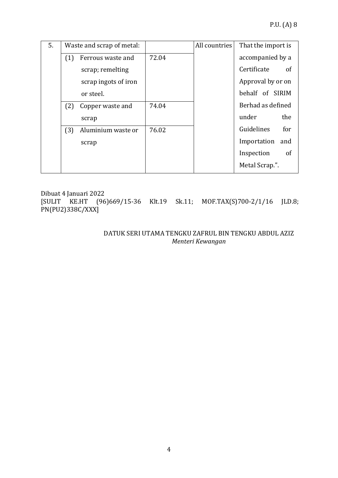| 5. |     | Waste and scrap of metal: |       | All countries | That the import is           |
|----|-----|---------------------------|-------|---------------|------------------------------|
|    | (1) | Ferrous waste and         | 72.04 |               | accompanied by a             |
|    |     | scrap; remelting          |       |               | Certificate<br><sub>of</sub> |
|    |     | scrap ingots of iron      |       |               | Approval by or on            |
|    |     | or steel.                 |       |               | behalf of SIRIM              |
|    | (2) | Copper waste and          | 74.04 |               | Berhad as defined            |
|    |     | scrap                     |       |               | the<br>under                 |
|    | (3) | Aluminium waste or        | 76.02 |               | Guidelines<br>for            |
|    |     | scrap                     |       |               | Importation<br>and           |
|    |     |                           |       |               | Inspection<br>of             |
|    |     |                           |       |               | Metal Scrap.".               |

Dibuat 4 Januari 2022 [SULIT KE.HT (96)669/15-36 Klt.19 Sk.11; MOF.TAX(S)700-2/1/16 JLD.8; PN(PU2)338C/XXX]

> DATUK SERI UTAMA TENGKU ZAFRUL BIN TENGKU ABDUL AZIZ *Menteri Kewangan*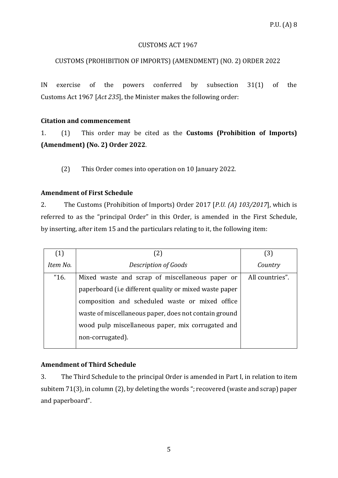#### CUSTOMS ACT 1967

## CUSTOMS (PROHIBITION OF IMPORTS) (AMENDMENT) (NO. 2) ORDER 2022

IN exercise of the powers conferred by subsection 31(1) of the Customs Act 1967 [*Act 235*], the Minister makes the following order:

## **Citation and commencement**

1. (1) This order may be cited as the **Customs (Prohibition of Imports) (Amendment) (No. 2) Order 2022**.

(2) This Order comes into operation on 10 January 2022.

## **Amendment of First Schedule**

2. The Customs (Prohibition of Imports) Order 2017 [*P.U. (A) 103/2017*], which is referred to as the "principal Order" in this Order, is amended in the First Schedule, by inserting, after item 15 and the particulars relating to it, the following item:

| (1)      | $\left( 2\right)$                                      | (3)             |  |
|----------|--------------------------------------------------------|-----------------|--|
| Item No. | Description of Goods                                   | Country         |  |
| "16.     | Mixed waste and scrap of miscellaneous paper or        | All countries". |  |
|          | paperboard (i.e different quality or mixed waste paper |                 |  |
|          | composition and scheduled waste or mixed office        |                 |  |
|          | waste of miscellaneous paper, does not contain ground  |                 |  |
|          | wood pulp miscellaneous paper, mix corrugated and      |                 |  |
|          | non-corrugated).                                       |                 |  |

## **Amendment of Third Schedule**

3. The Third Schedule to the principal Order is amended in Part I, in relation to item subitem 71(3), in column (2), by deleting the words "; recovered (waste and scrap) paper and paperboard".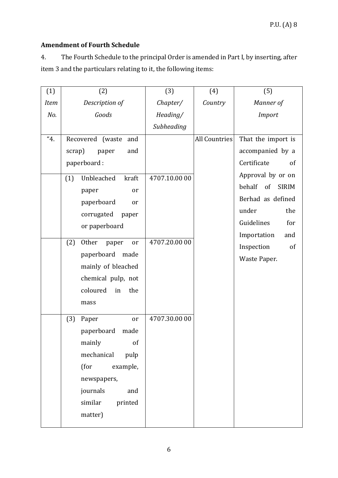## **Amendment of Fourth Schedule**

4. The Fourth Schedule to the principal Order is amended in Part I, by inserting, after item 3 and the particulars relating to it, the following items:

| (1)         | (2)                         | (3)           | (4)                  | (5)                          |
|-------------|-----------------------------|---------------|----------------------|------------------------------|
| <b>Item</b> | Description of              | Chapter/      | Country              | Manner of                    |
| No.         | Goods                       | Heading/      |                      | Import                       |
|             |                             | Subheading    |                      |                              |
| "4.         | Recovered (waste<br>and     |               | <b>All Countries</b> | That the import is           |
|             | scrap)<br>and<br>paper      |               |                      | accompanied by a             |
|             | paperboard:                 |               |                      | Certificate<br>of            |
|             | Unbleached<br>kraft<br>(1)  | 4707.10.00 00 |                      | Approval by or on            |
|             | paper<br>or                 |               |                      | behalf<br>of<br><b>SIRIM</b> |
|             | paperboard<br>or            |               |                      | Berhad as defined            |
|             | corrugated<br>paper         |               |                      | under<br>the                 |
|             | or paperboard               |               |                      | Guidelines<br>for            |
|             |                             |               |                      | Importation<br>and           |
|             | Other<br>(2)<br>paper<br>or | 4707.20.00 00 |                      | Inspection<br><sub>of</sub>  |
|             | paperboard<br>made          |               |                      | Waste Paper.                 |
|             | mainly of bleached          |               |                      |                              |
|             | chemical pulp, not          |               |                      |                              |
|             | coloured<br>the<br>in       |               |                      |                              |
|             | mass                        |               |                      |                              |
|             | (3)<br>Paper<br>or          | 4707.30.00 00 |                      |                              |
|             | paperboard<br>made          |               |                      |                              |
|             | mainly<br>of                |               |                      |                              |
|             | mechanical<br>pulp          |               |                      |                              |
|             | (for<br>example,            |               |                      |                              |
|             | newspapers,                 |               |                      |                              |
|             | journals<br>and             |               |                      |                              |
|             | similar<br>printed          |               |                      |                              |
|             | matter)                     |               |                      |                              |
|             |                             |               |                      |                              |